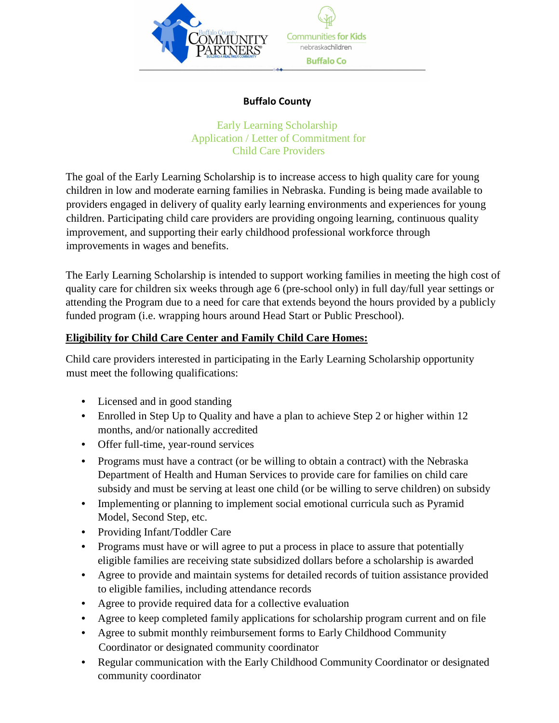

## **Buffalo County**

## Early Learning Scholarship Application / Letter of Commitment for Child Care Providers

The goal of the Early Learning Scholarship is to increase access to high quality care for young children in low and moderate earning families in Nebraska. Funding is being made available to providers engaged in delivery of quality early learning environments and experiences for young children. Participating child care providers are providing ongoing learning, continuous quality improvement, and supporting their early childhood professional workforce through improvements in wages and benefits.

The Early Learning Scholarship is intended to support working families in meeting the high cost of quality care for children six weeks through age 6 (pre-school only) in full day/full year settings or attending the Program due to a need for care that extends beyond the hours provided by a publicly funded program (i.e. wrapping hours around Head Start or Public Preschool).

## **Eligibility for Child Care Center and Family Child Care Homes:**

Child care providers interested in participating in the Early Learning Scholarship opportunity must meet the following qualifications:

- Licensed and in good standing
- Enrolled in Step Up to Quality and have a plan to achieve Step 2 or higher within 12 months, and/or nationally accredited
- Offer full-time, year-round services
- Programs must have a contract (or be willing to obtain a contract) with the Nebraska Department of Health and Human Services to provide care for families on child care subsidy and must be serving at least one child (or be willing to serve children) on subsidy
- Implementing or planning to implement social emotional curricula such as Pyramid Model, Second Step, etc.
- Providing Infant/Toddler Care
- Programs must have or will agree to put a process in place to assure that potentially eligible families are receiving state subsidized dollars before a scholarship is awarded
- Agree to provide and maintain systems for detailed records of tuition assistance provided to eligible families, including attendance records
- Agree to provide required data for a collective evaluation
- Agree to keep completed family applications for scholarship program current and on file
- Agree to submit monthly reimbursement forms to Early Childhood Community Coordinator or designated community coordinator
- Regular communication with the Early Childhood Community Coordinator or designated community coordinator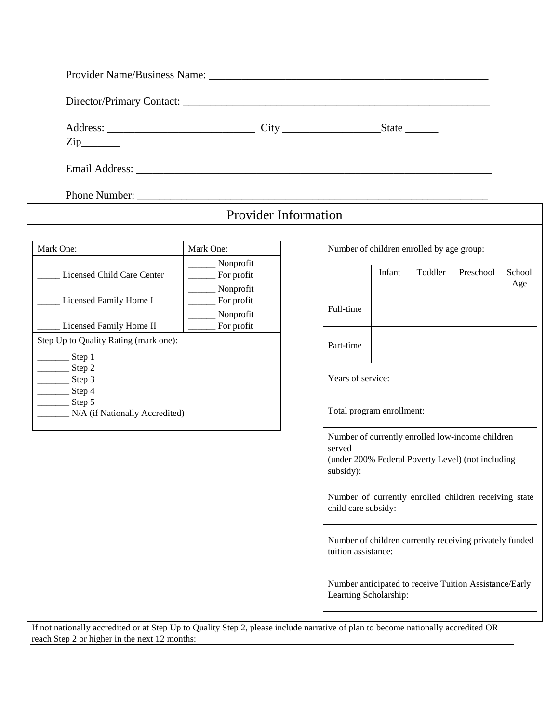| $\overline{\mathrm{Zip}}$                                                                                                                                                                                                      |  |
|--------------------------------------------------------------------------------------------------------------------------------------------------------------------------------------------------------------------------------|--|
| Email Address: No. 1996. The Second Second Second Second Second Second Second Second Second Second Second Second Second Second Second Second Second Second Second Second Second Second Second Second Second Second Second Seco |  |

Phone Number: \_\_\_\_\_\_\_\_\_\_\_\_\_\_\_\_\_\_\_\_\_\_\_\_\_\_\_\_\_\_\_\_\_\_\_\_\_\_\_\_\_\_\_\_\_\_\_\_\_\_\_\_\_\_\_\_\_\_\_\_\_\_\_\_

|                                                                                                                                   | <b>Provider Information</b> |           |                                                                                                                    |         |                                                        |               |  |  |
|-----------------------------------------------------------------------------------------------------------------------------------|-----------------------------|-----------|--------------------------------------------------------------------------------------------------------------------|---------|--------------------------------------------------------|---------------|--|--|
|                                                                                                                                   |                             |           |                                                                                                                    |         |                                                        |               |  |  |
| Mark One:                                                                                                                         | Mark One:                   |           | Number of children enrolled by age group:                                                                          |         |                                                        |               |  |  |
| Licensed Child Care Center                                                                                                        | Nonprofit<br>For profit     |           | Infant                                                                                                             | Toddler | Preschool                                              | School<br>Age |  |  |
| Licensed Family Home I                                                                                                            | Nonprofit<br>For profit     | Full-time |                                                                                                                    |         |                                                        |               |  |  |
| Licensed Family Home II                                                                                                           | Nonprofit<br>For profit     |           |                                                                                                                    |         |                                                        |               |  |  |
| Step Up to Quality Rating (mark one):                                                                                             |                             | Part-time |                                                                                                                    |         |                                                        |               |  |  |
| Step 1<br>Step 2<br>Step 3<br>Step 4                                                                                              |                             |           | Years of service:                                                                                                  |         |                                                        |               |  |  |
| Step 5<br>N/A (if Nationally Accredited)                                                                                          |                             |           | Total program enrollment:                                                                                          |         |                                                        |               |  |  |
|                                                                                                                                   |                             | served    | Number of currently enrolled low-income children<br>(under 200% Federal Poverty Level) (not including<br>subsidy): |         |                                                        |               |  |  |
| Number of currently enrolled children receiving state<br>child care subsidy:                                                      |                             |           |                                                                                                                    |         |                                                        |               |  |  |
|                                                                                                                                   |                             |           | Number of children currently receiving privately funded<br>tuition assistance:                                     |         |                                                        |               |  |  |
|                                                                                                                                   |                             |           | Learning Scholarship:                                                                                              |         | Number anticipated to receive Tuition Assistance/Early |               |  |  |
| If not nationally accredited or at Step Up to Quality Step 2, please include narrative of plan to become nationally accredited OR |                             |           |                                                                                                                    |         |                                                        |               |  |  |

reach Step 2 or higher in the next 12 months: